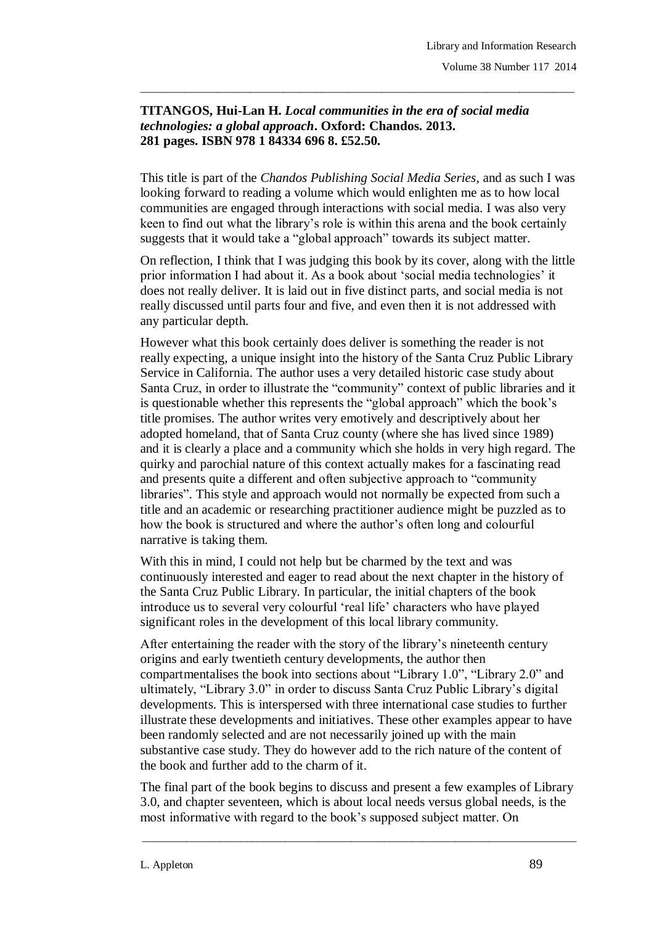## **TITANGOS, Hui-Lan H.** *Local communities in the era of social media technologies: a global approach***. Oxford: Chandos. 2013. 281 pages. ISBN 978 1 84334 696 8. £52.50.**

This title is part of the *Chandos Publishing Social Media Series*, and as such I was looking forward to reading a volume which would enlighten me as to how local communities are engaged through interactions with social media. I was also very keen to find out what the library"s role is within this arena and the book certainly suggests that it would take a "global approach" towards its subject matter.

\_\_\_\_\_\_\_\_\_\_\_\_\_\_\_\_\_\_\_\_\_\_\_\_\_\_\_\_\_\_\_\_\_\_\_\_\_\_\_\_\_\_\_\_\_\_\_\_\_\_\_\_\_\_\_\_\_\_\_\_\_\_\_\_\_\_\_\_\_\_\_\_\_\_\_\_\_\_\_

On reflection, I think that I was judging this book by its cover, along with the little prior information I had about it. As a book about "social media technologies" it does not really deliver. It is laid out in five distinct parts, and social media is not really discussed until parts four and five, and even then it is not addressed with any particular depth.

However what this book certainly does deliver is something the reader is not really expecting, a unique insight into the history of the Santa Cruz Public Library Service in California. The author uses a very detailed historic case study about Santa Cruz, in order to illustrate the "community" context of public libraries and it is questionable whether this represents the "global approach" which the book"s title promises. The author writes very emotively and descriptively about her adopted homeland, that of Santa Cruz county (where she has lived since 1989) and it is clearly a place and a community which she holds in very high regard. The quirky and parochial nature of this context actually makes for a fascinating read and presents quite a different and often subjective approach to "community libraries". This style and approach would not normally be expected from such a title and an academic or researching practitioner audience might be puzzled as to how the book is structured and where the author"s often long and colourful narrative is taking them.

With this in mind, I could not help but be charmed by the text and was continuously interested and eager to read about the next chapter in the history of the Santa Cruz Public Library. In particular, the initial chapters of the book introduce us to several very colourful "real life" characters who have played significant roles in the development of this local library community.

After entertaining the reader with the story of the library"s nineteenth century origins and early twentieth century developments, the author then compartmentalises the book into sections about "Library 1.0", "Library 2.0" and ultimately, "Library 3.0" in order to discuss Santa Cruz Public Library"s digital developments. This is interspersed with three international case studies to further illustrate these developments and initiatives. These other examples appear to have been randomly selected and are not necessarily joined up with the main substantive case study. They do however add to the rich nature of the content of the book and further add to the charm of it.

The final part of the book begins to discuss and present a few examples of Library 3.0, and chapter seventeen, which is about local needs versus global needs, is the most informative with regard to the book"s supposed subject matter. On

\_\_\_\_\_\_\_\_\_\_\_\_\_\_\_\_\_\_\_\_\_\_\_\_\_\_\_\_\_\_\_\_\_\_\_\_\_\_\_\_\_\_\_\_\_\_\_\_\_\_\_\_\_\_\_\_\_\_\_\_\_\_\_\_\_\_\_\_\_\_\_\_\_\_\_\_\_\_\_